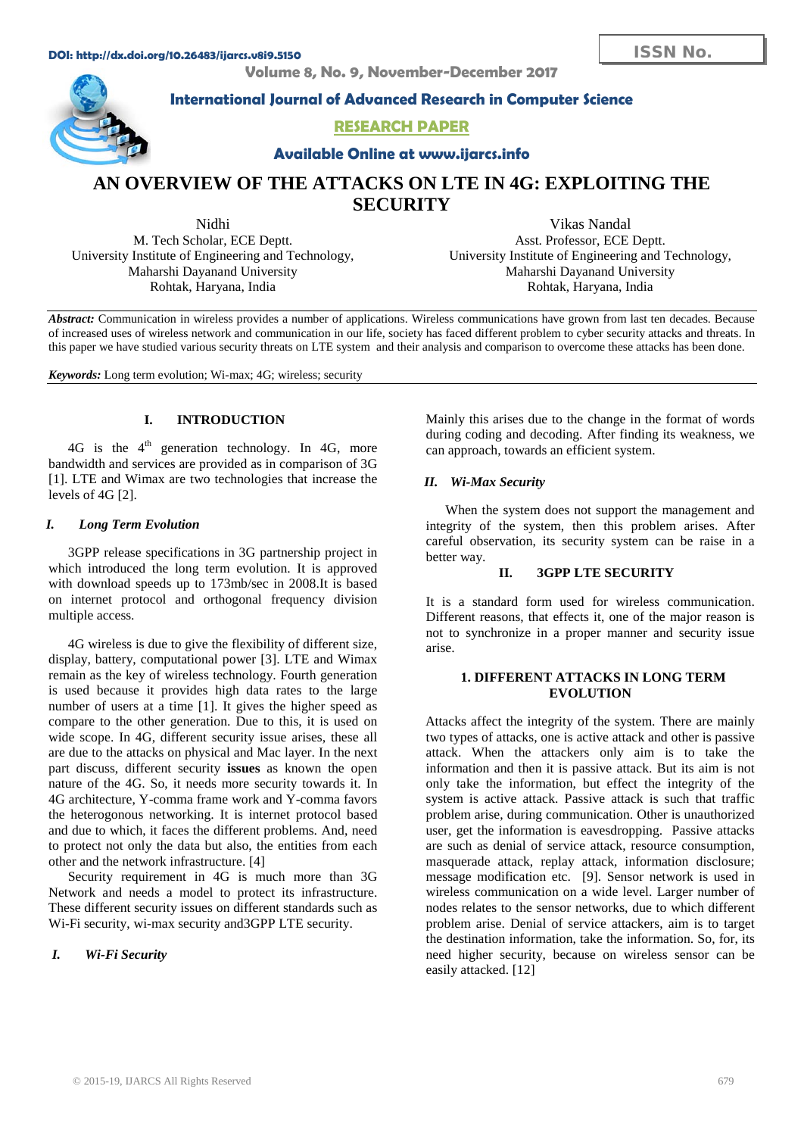#### **DOI: http://dx.doi.org/10.26483/ijarcs.v8i9.5150**

**Volume 8, No. 9, November-December 2017**



**International Journal of Advanced Research in Computer Science**

# **RESEARCH PAPER**

**Available Online at www.ijarcs.info**

# **AN OVERVIEW OF THE ATTACKS ON LTE IN 4G: EXPLOITING THE SECURITY**

Nidhi M. Tech Scholar, ECE Deptt. University Institute of Engineering and Technology, Maharshi Dayanand University Rohtak, Haryana, India

Vikas Nandal Asst. Professor, ECE Deptt. University Institute of Engineering and Technology, Maharshi Dayanand University Rohtak, Haryana, India

*Abstract:* Communication in wireless provides a number of applications. Wireless communications have grown from last ten decades. Because of increased uses of wireless network and communication in our life, society has faced different problem to cyber security attacks and threats. In this paper we have studied various security threats on LTE system and their analysis and comparison to overcome these attacks has been done.

*Keywords:* Long term evolution; Wi-max; 4G; wireless; security

# **I. INTRODUCTION**

4G is the  $4<sup>th</sup>$  generation technology. In 4G, more bandwidth and services are provided as in comparison of 3G [1]. LTE and Wimax are two technologies that increase the levels of 4G [2].

# *I. Long Term Evolution*

3GPP release specifications in 3G partnership project in which introduced the long term evolution. It is approved with download speeds up to 173mb/sec in 2008.It is based on internet protocol and orthogonal frequency division multiple access.

4G wireless is due to give the flexibility of different size, display, battery, computational power [3]. LTE and Wimax remain as the key of wireless technology. Fourth generation is used because it provides high data rates to the large number of users at a time [1]. It gives the higher speed as compare to the other generation. Due to this, it is used on wide scope. In 4G, different security issue arises, these all are due to the attacks on physical and Mac layer. In the next part discuss, different security **issues** as known the open nature of the 4G. So, it needs more security towards it. In 4G architecture, Y-comma frame work and Y-comma favors the heterogonous networking. It is internet protocol based and due to which, it faces the different problems. And, need to protect not only the data but also, the entities from each other and the network infrastructure. [4]

Security requirement in 4G is much more than 3G Network and needs a model to protect its infrastructure. These different security issues on different standards such as Wi-Fi security, wi-max security and3GPP LTE security.

# *I. Wi-Fi Security*

Mainly this arises due to the change in the format of words during coding and decoding. After finding its weakness, we can approach, towards an efficient system.

# *II. Wi-Max Security*

When the system does not support the management and integrity of the system, then this problem arises. After careful observation, its security system can be raise in a better way.

# **II. 3GPP LTE SECURITY**

It is a standard form used for wireless communication. Different reasons, that effects it, one of the major reason is not to synchronize in a proper manner and security issue arise.

## **1. DIFFERENT ATTACKS IN LONG TERM EVOLUTION**

 Attacks affect the integrity of the system. There are mainly two types of attacks, one is active attack and other is passive attack. When the attackers only aim is to take the information and then it is passive attack. But its aim is not only take the information, but effect the integrity of the system is active attack. Passive attack is such that traffic problem arise, during communication. Other is unauthorized user, get the information is eavesdropping. Passive attacks are such as denial of service attack, resource consumption, masquerade attack, replay attack, information disclosure; message modification etc. [9]. Sensor network is used in wireless communication on a wide level. Larger number of nodes relates to the sensor networks, due to which different problem arise. Denial of service attackers, aim is to target the destination information, take the information. So, for, its need higher security, because on wireless sensor can be easily attacked. [12]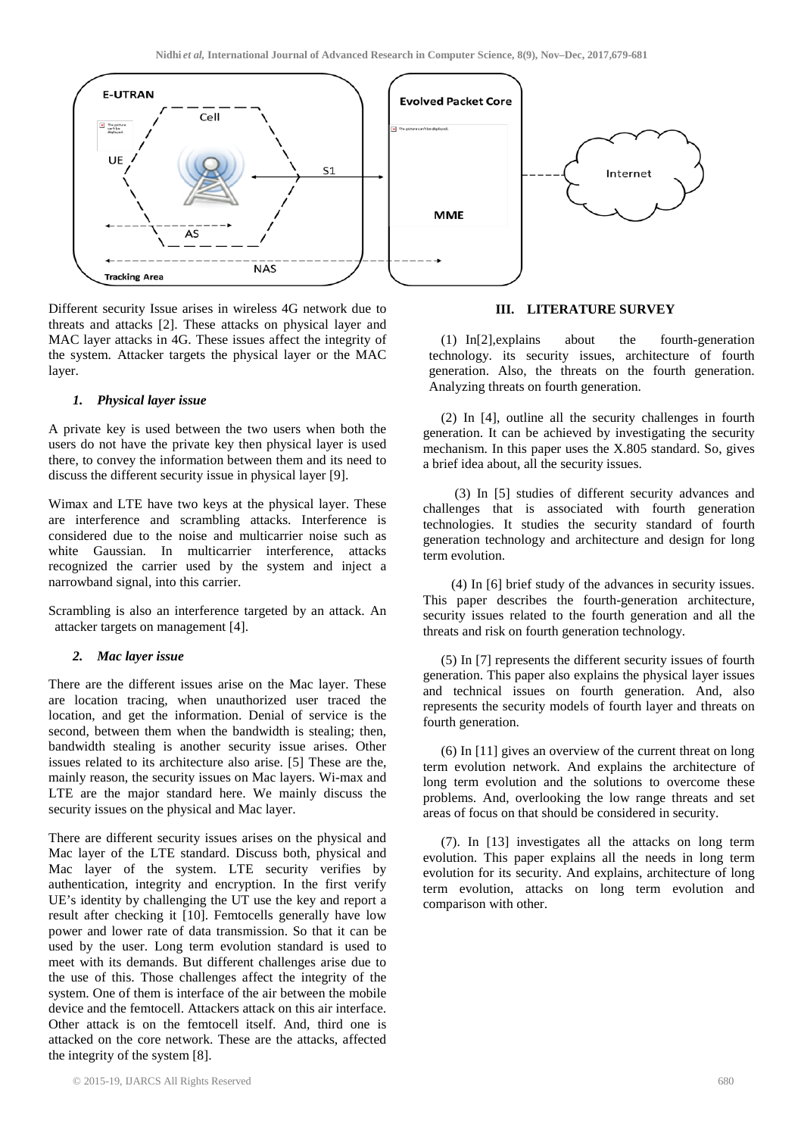

Different security Issue arises in wireless 4G network due to threats and attacks [2]. These attacks on physical layer and MAC layer attacks in 4G. These issues affect the integrity of the system. Attacker targets the physical layer or the MAC layer.

#### *1. Physical layer issue*

A private key is used between the two users when both the users do not have the private key then physical layer is used there, to convey the information between them and its need to discuss the different security issue in physical layer [9].

Wimax and LTE have two keys at the physical layer. These are interference and scrambling attacks. Interference is considered due to the noise and multicarrier noise such as white Gaussian. In multicarrier interference, attacks recognized the carrier used by the system and inject a narrowband signal, into this carrier.

Scrambling is also an interference targeted by an attack. An attacker targets on management [4].

## *2. Mac layer issue*

There are the different issues arise on the Mac layer. These are location tracing, when unauthorized user traced the location, and get the information. Denial of service is the second, between them when the bandwidth is stealing; then, bandwidth stealing is another security issue arises. Other issues related to its architecture also arise. [5] These are the, mainly reason, the security issues on Mac layers. Wi-max and LTE are the major standard here. We mainly discuss the security issues on the physical and Mac layer.

There are different security issues arises on the physical and Mac layer of the LTE standard. Discuss both, physical and Mac layer of the system. LTE security verifies by authentication, integrity and encryption. In the first verify UE's identity by challenging the UT use the key and report a result after checking it [10]. Femtocells generally have low power and lower rate of data transmission. So that it can be used by the user. Long term evolution standard is used to meet with its demands. But different challenges arise due to the use of this. Those challenges affect the integrity of the system. One of them is interface of the air between the mobile device and the femtocell. Attackers attack on this air interface. Other attack is on the femtocell itself. And, third one is attacked on the core network. These are the attacks, affected the integrity of the system [8].

## **III. LITERATURE SURVEY**

(1) In[2],explains about the fourth-generation technology. its security issues, architecture of fourth generation. Also, the threats on the fourth generation. Analyzing threats on fourth generation.

(2) In [4], outline all the security challenges in fourth generation. It can be achieved by investigating the security mechanism. In this paper uses the X.805 standard. So, gives a brief idea about, all the security issues.

 (3) In [5] studies of different security advances and challenges that is associated with fourth generation technologies. It studies the security standard of fourth generation technology and architecture and design for long term evolution.

 (4) In [6] brief study of the advances in security issues. This paper describes the fourth-generation architecture, security issues related to the fourth generation and all the threats and risk on fourth generation technology.

(5) In [7] represents the different security issues of fourth generation. This paper also explains the physical layer issues and technical issues on fourth generation. And, also represents the security models of fourth layer and threats on fourth generation.

(6) In [11] gives an overview of the current threat on long term evolution network. And explains the architecture of long term evolution and the solutions to overcome these problems. And, overlooking the low range threats and set areas of focus on that should be considered in security.

(7). In [13] investigates all the attacks on long term evolution. This paper explains all the needs in long term evolution for its security. And explains, architecture of long term evolution, attacks on long term evolution and comparison with other.